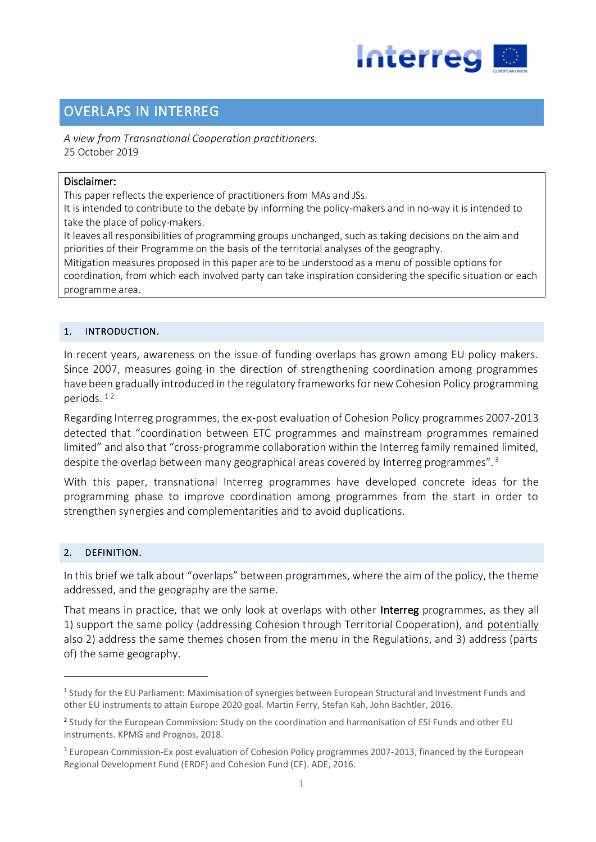

# OVERLAPS IN INTERREG

*A view from Transnational Cooperation practitioners.* 25 October 2019

## Disclaimer:

This paper reflects the experience of practitioners from MAs and JSs.

It is intended to contribute to the debate by informing the policy-makers and in no-way it is intended to take the place of policy-makers.

It leaves all responsibilities of programming groups unchanged, such as taking decisions on the aim and priorities of their Programme on the basis of the territorial analyses of the geography.

Mitigation measures proposed in this paper are to be understood as a menu of possible options for coordination, from which each involved party can take inspiration considering the specific situation or each programme area.

# 1. INTRODUCTION.

In recent years, awareness on the issue of funding overlaps has grown among EU policy makers. Since 2007, measures going in the direction of strengthening coordination among programmes have been gradually introduced in the regulatory frameworks for new Cohesion Policy programming periods. <sup>1</sup> <sup>2</sup>

Regarding Interreg programmes, the ex-post evaluation of Cohesion Policy programmes 2007-2013 detected that "coordination between ETC programmes and mainstream programmes remained limited" and also that "cross-programme collaboration within the Interreg family remained limited, despite the overlap between many geographical areas covered by Interreg programmes". <sup>3</sup>

With this paper, transnational Interreg programmes have developed concrete ideas for the programming phase to improve coordination among programmes from the start in order to strengthen synergies and complementarities and to avoid duplications.

# 2. DEFINITION.

**-**

In this brief we talk about "overlaps" between programmes, where the aim of the policy, the theme addressed, and the geography are the same.

That means in practice, that we only look at overlaps with other Interreg programmes, as they all 1) support the same policy (addressing Cohesion through Territorial Cooperation), and potentially also 2) address the same themes chosen from the menu in the Regulations, and 3) address (parts of) the same geography.

<sup>&</sup>lt;sup>1</sup> Study for the EU Parliament: Maximisation of synergies between European Structural and Investment Funds and other EU instruments to attain Europe 2020 goal. Martin Ferry, Stefan Kah, John Bachtler, 2016.

<sup>&</sup>lt;sup>2</sup> Study for the European Commission: Study on the coordination and harmonisation of ESI Funds and other EU instruments. KPMG and Prognos, 2018.

<sup>&</sup>lt;sup>3</sup> European Commission-Ex post evaluation of Cohesion Policy programmes 2007-2013, financed by the European Regional Development Fund (ERDF) and Cohesion Fund (CF). ADE, 2016.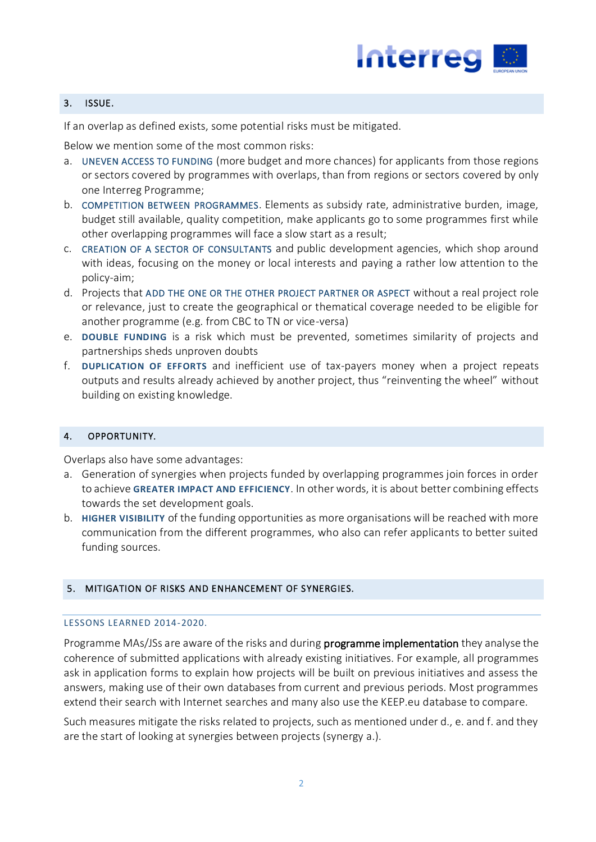

## 3. ISSUE.

If an overlap as defined exists, some potential risks must be mitigated.

Below we mention some of the most common risks:

- a. UNEVEN ACCESS TO FUNDING (more budget and more chances) for applicants from those regions or sectors covered by programmes with overlaps, than from regions or sectors covered by only one Interreg Programme;
- b. COMPETITION BETWEEN PROGRAMMES. Elements as subsidy rate, administrative burden, image, budget still available, quality competition, make applicants go to some programmes first while other overlapping programmes will face a slow start as a result;
- c. CREATION OF A SECTOR OF CONSULTANTS and public development agencies, which shop around with ideas, focusing on the money or local interests and paying a rather low attention to the policy-aim;
- d. Projects that ADD THE ONE OR THE OTHER PROJECT PARTNER OR ASPECT without a real project role or relevance, just to create the geographical or thematical coverage needed to be eligible for another programme (e.g. from CBC to TN or vice-versa)
- e. **DOUBLE FUNDING** is a risk which must be prevented, sometimes similarity of projects and partnerships sheds unproven doubts
- f. **DUPLICATION OF EFFORTS** and inefficient use of tax-payers money when a project repeats outputs and results already achieved by another project, thus "reinventing the wheel" without building on existing knowledge.

### 4. OPPORTUNITY.

Overlaps also have some advantages:

- a. Generation of synergies when projects funded by overlapping programmes join forces in order to achieve **GREATER IMPACT AND EFFICIENCY**. In other words, it is about better combining effects towards the set development goals.
- b. **HIGHER VISIBILITY** of the funding opportunities as more organisations will be reached with more communication from the different programmes, who also can refer applicants to better suited funding sources.

# 5. MITIGATION OF RISKS AND ENHANCEMENT OF SYNERGIES.

### LESSONS LEARNED 2014-2020.

Programme MAs/JSs are aware of the risks and during **programme implementation** they analyse the coherence of submitted applications with already existing initiatives. For example, all programmes ask in application forms to explain how projects will be built on previous initiatives and assess the answers, making use of their own databases from current and previous periods. Most programmes extend their search with Internet searches and many also use the KEEP.eu database to compare.

Such measures mitigate the risks related to projects, such as mentioned under d., e. and f. and they are the start of looking at synergies between projects (synergy a.).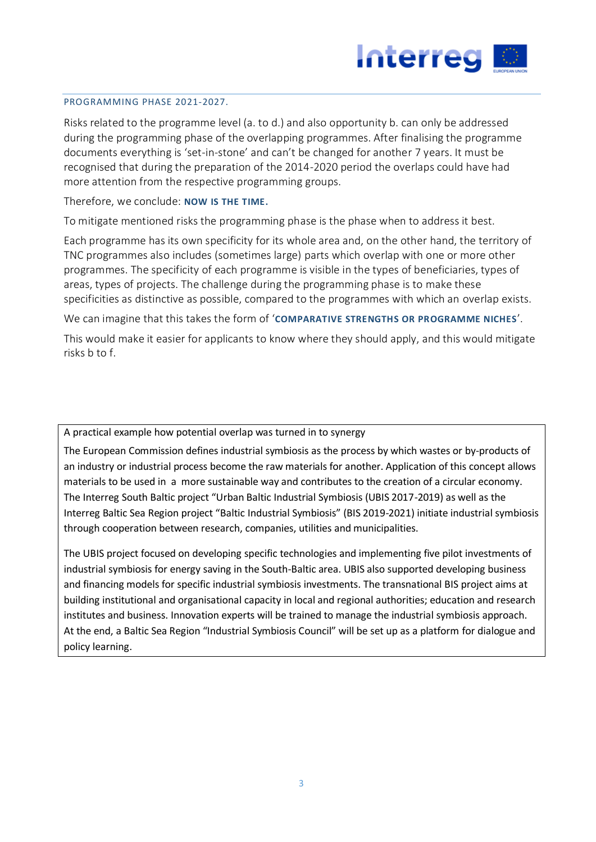

#### PROGRAMMING PHASE 2021-2027.

Risks related to the programme level (a. to d.) and also opportunity b. can only be addressed during the programming phase of the overlapping programmes. After finalising the programme documents everything is 'set-in-stone' and can't be changed for another 7 years. It must be recognised that during the preparation of the 2014-2020 period the overlaps could have had more attention from the respective programming groups.

Therefore, we conclude: **NOW IS THE TIME.**

To mitigate mentioned risks the programming phase is the phase when to address it best.

Each programme has its own specificity for its whole area and, on the other hand, the territory of TNC programmes also includes (sometimes large) parts which overlap with one or more other programmes. The specificity of each programme is visible in the types of beneficiaries, types of areas, types of projects. The challenge during the programming phase is to make these specificities as distinctive as possible, compared to the programmes with which an overlap exists.

We can imagine that this takes the form of '**COMPARATIVE STRENGTHS OR PROGRAMME NICHES**'.

This would make it easier for applicants to know where they should apply, and this would mitigate risks b to f.

A practical example how potential overlap was turned in to synergy

The European Commission defines industrial symbiosis as the process by which wastes or by‐products of an industry or industrial process become the raw materials for another. Application of this concept allows materials to be used in a more sustainable way and contributes to the creation of a circular economy. The Interreg South Baltic project "Urban Baltic Industrial Symbiosis (UBIS 2017-2019) as well as the Interreg Baltic Sea Region project "Baltic Industrial Symbiosis" (BIS 2019-2021) initiate industrial symbiosis through cooperation between research, companies, utilities and municipalities.

The UBIS project focused on developing specific technologies and implementing five pilot investments of industrial symbiosis for energy saving in the South-Baltic area. UBIS also supported developing business and financing models for specific industrial symbiosis investments. The transnational BIS project aims at building institutional and organisational capacity in local and regional authorities; education and research institutes and business. Innovation experts will be trained to manage the industrial symbiosis approach. At the end, a Baltic Sea Region "Industrial Symbiosis Council" will be set up as a platform for dialogue and policy learning.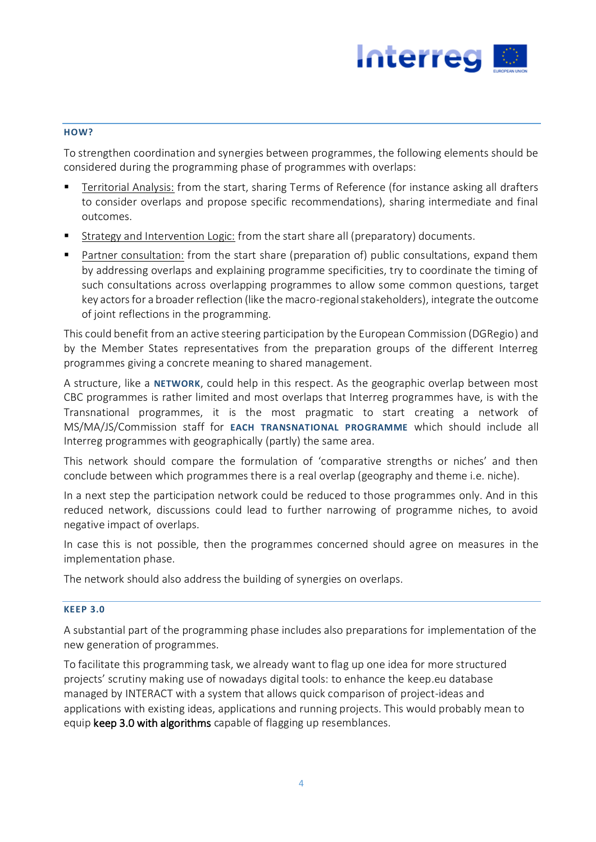

#### **HOW?**

To strengthen coordination and synergies between programmes, the following elements should be considered during the programming phase of programmes with overlaps:

- Territorial Analysis: from the start, sharing Terms of Reference (for instance asking all drafters to consider overlaps and propose specific recommendations), sharing intermediate and final outcomes.
- Strategy and Intervention Logic: from the start share all (preparatory) documents.
- **Partner consultation:** from the start share (preparation of) public consultations, expand them by addressing overlaps and explaining programme specificities, try to coordinate the timing of such consultations across overlapping programmes to allow some common questions, target key actors for a broader reflection (like the macro-regional stakeholders), integrate the outcome of joint reflections in the programming.

This could benefit from an active steering participation by the European Commission (DGRegio) and by the Member States representatives from the preparation groups of the different Interreg programmes giving a concrete meaning to shared management.

A structure, like a **NETWORK**, could help in this respect. As the geographic overlap between most CBC programmes is rather limited and most overlaps that Interreg programmes have, is with the Transnational programmes, it is the most pragmatic to start creating a network of MS/MA/JS/Commission staff for **EACH TRANSNATIONAL PROGRAMME** which should include all Interreg programmes with geographically (partly) the same area.

This network should compare the formulation of 'comparative strengths or niches' and then conclude between which programmes there is a real overlap (geography and theme i.e. niche).

In a next step the participation network could be reduced to those programmes only. And in this reduced network, discussions could lead to further narrowing of programme niches, to avoid negative impact of overlaps.

In case this is not possible, then the programmes concerned should agree on measures in the implementation phase.

The network should also address the building of synergies on overlaps.

#### **KEEP 3.0**

A substantial part of the programming phase includes also preparations for implementation of the new generation of programmes.

To facilitate this programming task, we already want to flag up one idea for more structured projects' scrutiny making use of nowadays digital tools: to enhance the keep.eu database managed by INTERACT with a system that allows quick comparison of project-ideas and applications with existing ideas, applications and running projects. This would probably mean to equip keep 3.0 with algorithms capable of flagging up resemblances.